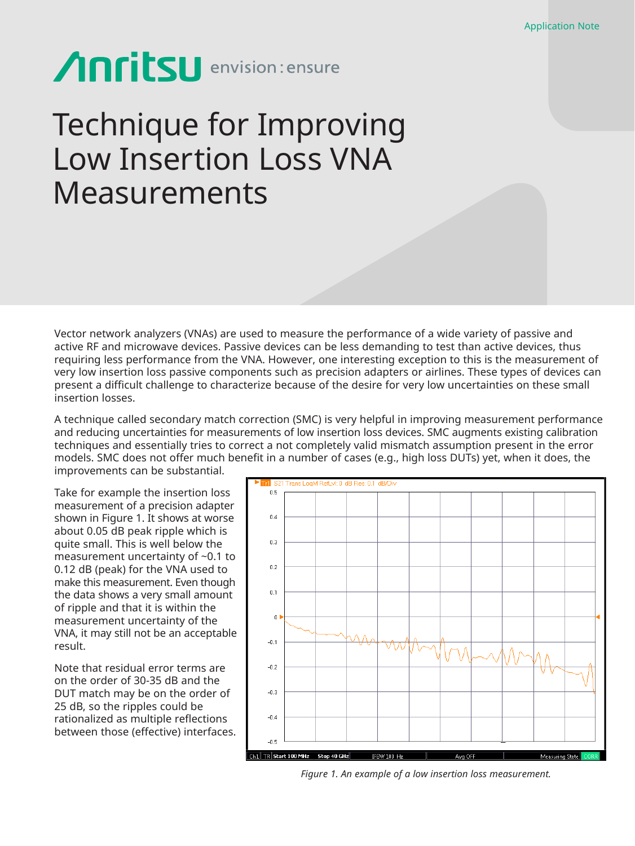# Anritsu envision: ensure

## Technique for Improving Low Insertion Loss VNA Measurements

Vector network analyzers (VNAs) are used to measure the performance of a wide variety of passive and active RF and microwave devices. Passive devices can be less demanding to test than active devices, thus requiring less performance from the VNA. However, one interesting exception to this is the measurement of very low insertion loss passive components such as precision adapters or airlines. These types of devices can present a difficult challenge to characterize because of the desire for very low uncertainties on these small insertion losses.

A technique called secondary match correction (SMC) is very helpful in improving measurement performance and reducing uncertainties for measurements of low insertion loss devices. SMC augments existing calibration techniques and essentially tries to correct a not completely valid mismatch assumption present in the error models. SMC does not offer much benefit in a number of cases (e.g., high loss DUTs) yet, when it does, the improvements can be substantial.

Take for example the insertion loss measurement of a precision adapter shown in Figure 1. It shows at worse about 0.05 dB peak ripple which is quite small. This is well below the measurement uncertainty of ~0.1 to 0.12 dB (peak) for the VNA used to make this measurement. Even though the data shows a very small amount of ripple and that it is within the measurement uncertainty of the VNA, it may still not be an acceptable result.

Note that residual error terms are on the order of 30-35 dB and the DUT match may be on the order of 25 dB, so the ripples could be rationalized as multiple reflections between those (effective) interfaces.



*Figure 1. An example of a low insertion loss measurement.*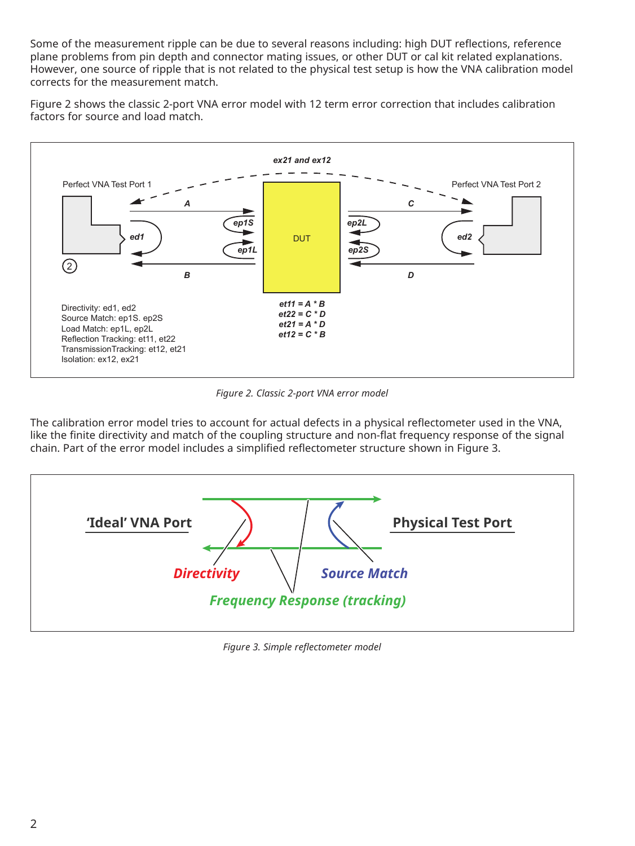Some of the measurement ripple can be due to several reasons including: high DUT reflections, reference plane problems from pin depth and connector mating issues, or other DUT or cal kit related explanations. However, one source of ripple that is not related to the physical test setup is how the VNA calibration model corrects for the measurement match.

Figure 2 shows the classic 2-port VNA error model with 12 term error correction that includes calibration factors for source and load match.



*Figure 2. Classic 2-port VNA error model*

The calibration error model tries to account for actual defects in a physical reflectometer used in the VNA, like the finite directivity and match of the coupling structure and non-flat frequency response of the signal chain. Part of the error model includes a simplified reflectometer structure shown in Figure 3.



*Figure 3. Simple reflectometer model*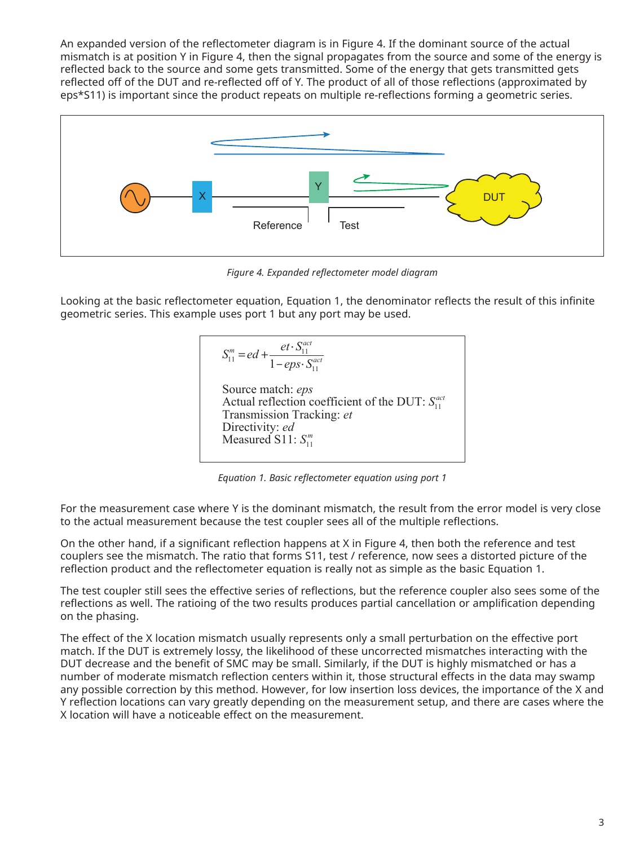An expanded version of the reflectometer diagram is in Figure 4. If the dominant source of the actual mismatch is at position Y in Figure 4, then the signal propagates from the source and some of the energy is reflected back to the source and some gets transmitted. Some of the energy that gets transmitted gets reflected off of the DUT and re-reflected off of Y. The product of all of those reflections (approximated by eps\*S11) is important since the product repeats on multiple re-reflections forming a geometric series.



*Figure 4. Expanded reflectometer model diagram*

Looking at the basic reflectometer equation, Equation 1, the denominator reflects the result of this infinite geometric series. This example uses port 1 but any port may be used.

$$
S_{11}^{m} = ed + \frac{et \cdot S_{11}^{act}}{1 -eps \cdot S_{11}^{act}}
$$
  
Source match: *eps*  
Actual reflection coefficient of the DUT:  $S_{11}^{act}$   
Transmission Tracking: *et*  
Directivity: *ed*  
Measured S11:  $S_{11}^{m}$ 

*Equation 1. Basic reflectometer equation using port 1*

For the measurement case where Y is the dominant mismatch, the result from the error model is very close to the actual measurement because the test coupler sees all of the multiple reflections.

On the other hand, if a significant reflection happens at X in Figure 4, then both the reference and test couplers see the mismatch. The ratio that forms S11, test / reference, now sees a distorted picture of the reflection product and the reflectometer equation is really not as simple as the basic Equation 1.

The test coupler still sees the effective series of reflections, but the reference coupler also sees some of the reflections as well. The ratioing of the two results produces partial cancellation or amplification depending on the phasing.

The effect of the X location mismatch usually represents only a small perturbation on the effective port match. If the DUT is extremely lossy, the likelihood of these uncorrected mismatches interacting with the DUT decrease and the benefit of SMC may be small. Similarly, if the DUT is highly mismatched or has a number of moderate mismatch reflection centers within it, those structural effects in the data may swamp any possible correction by this method. However, for low insertion loss devices, the importance of the X and Y reflection locations can vary greatly depending on the measurement setup, and there are cases where the X location will have a noticeable effect on the measurement.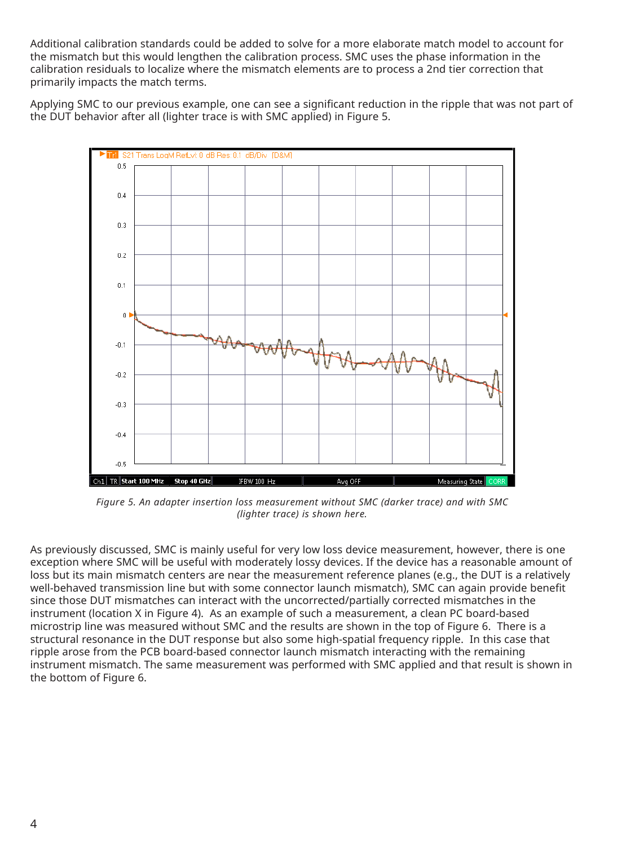Additional calibration standards could be added to solve for a more elaborate match model to account for the mismatch but this would lengthen the calibration process. SMC uses the phase information in the calibration residuals to localize where the mismatch elements are to process a 2nd tier correction that primarily impacts the match terms.

Applying SMC to our previous example, one can see a significant reduction in the ripple that was not part of the DUT behavior after all (lighter trace is with SMC applied) in Figure 5.



*Figure 5. An adapter insertion loss measurement without SMC (darker trace) and with SMC (lighter trace) is shown here.*

As previously discussed, SMC is mainly useful for very low loss device measurement, however, there is one exception where SMC will be useful with moderately lossy devices. If the device has a reasonable amount of loss but its main mismatch centers are near the measurement reference planes (e.g., the DUT is a relatively well-behaved transmission line but with some connector launch mismatch), SMC can again provide benefit since those DUT mismatches can interact with the uncorrected/partially corrected mismatches in the instrument (location X in Figure 4). As an example of such a measurement, a clean PC board-based microstrip line was measured without SMC and the results are shown in the top of Figure 6. There is a structural resonance in the DUT response but also some high-spatial frequency ripple. In this case that ripple arose from the PCB board-based connector launch mismatch interacting with the remaining instrument mismatch. The same measurement was performed with SMC applied and that result is shown in the bottom of Figure 6.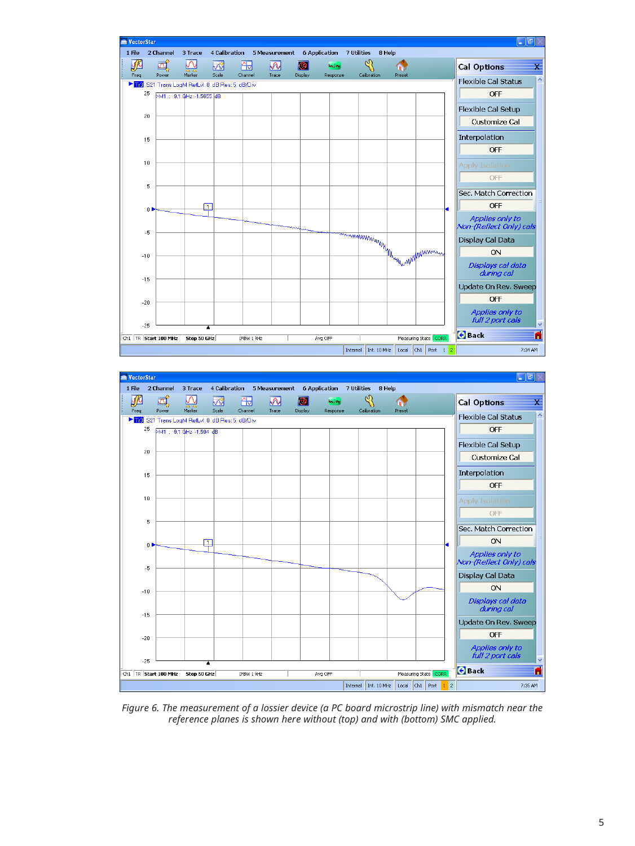



*Figure 6. The measurement of a lossier device (a PC board microstrip line) with mismatch near the reference planes is shown here without (top) and with (bottom) SMC applied.*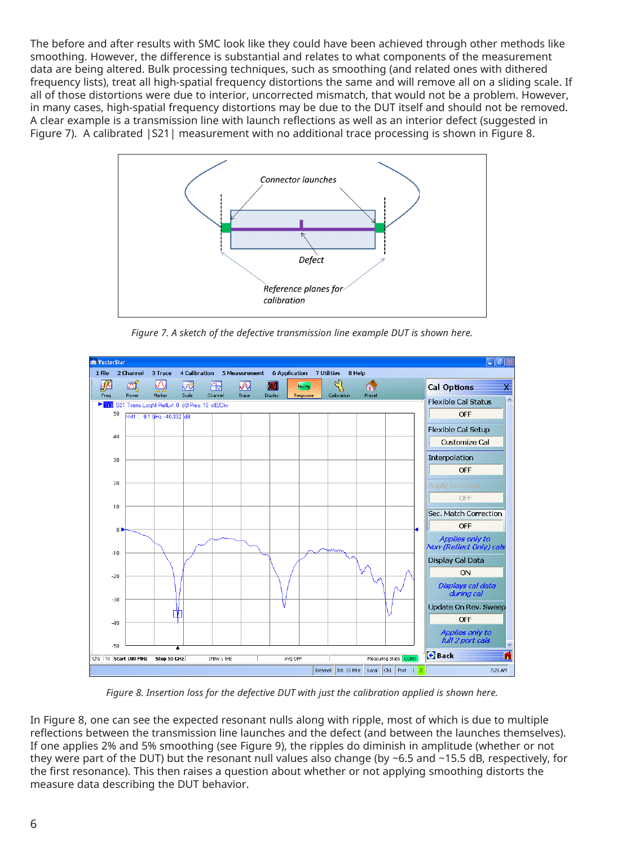The before and after results with SMC look like they could have been achieved through other methods like smoothing. However, the difference is substantial and relates to what components of the measurement data are being altered. Bulk processing techniques, such as smoothing (and related ones with dithered frequency lists), treat all high-spatial frequency distortions the same and will remove all on a sliding scale. If all of those distortions were due to interior, uncorrected mismatch, that would not be a problem. However, in many cases, high-spatial frequency distortions may be due to the DUT itself and should not be removed. A clear example is a transmission line with launch reflections as well as an interior defect (suggested in Figure 7). A calibrated  $|S21|$  measurement with no additional trace processing is shown in Figure 8.



*Figure 7. A sketch of the defective transmission line example DUT is shown here.*



*Figure 8. Insertion loss for the defective DUT with just the calibration applied is shown here.*

In Figure 8, one can see the expected resonant nulls along with ripple, most of which is due to multiple reflections between the transmission line launches and the defect (and between the launches themselves). If one applies 2% and 5% smoothing (see Figure 9), the ripples do diminish in amplitude (whether or not they were part of the DUT) but the resonant null values also change (by ~6.5 and ~15.5 dB, respectively, for the first resonance). This then raises a question about whether or not applying smoothing distorts the measure data describing the DUT behavior.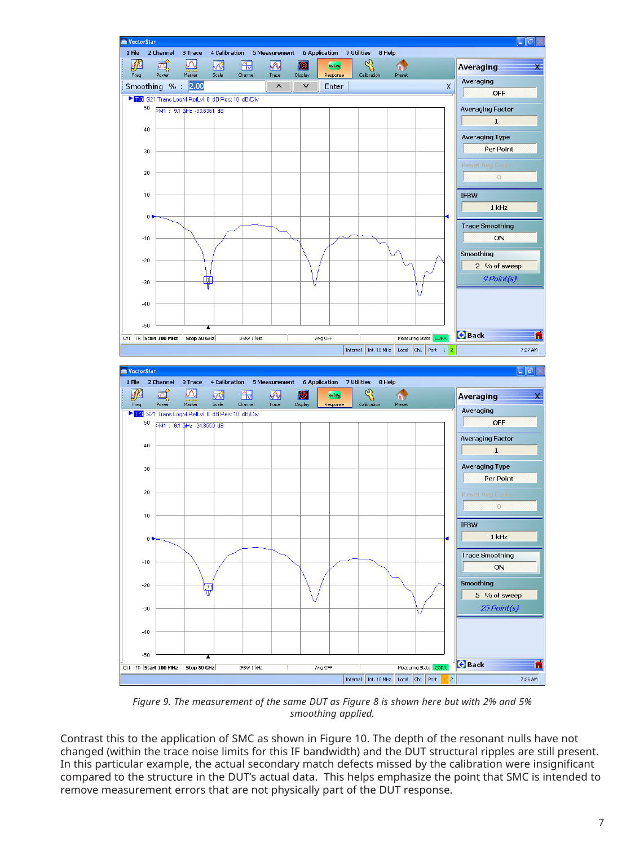

*Figure 9. The measurement of the same DUT as Figure 8 is shown here but with 2% and 5% smoothing applied.*

Contrast this to the application of SMC as shown in Figure 10. The depth of the resonant nulls have not changed (within the trace noise limits for this IF bandwidth) and the DUT structural ripples are still present. In this particular example, the actual secondary match defects missed by the calibration were insignificant compared to the structure in the DUT's actual data. This helps emphasize the point that SMC is intended to remove measurement errors that are not physically part of the DUT response.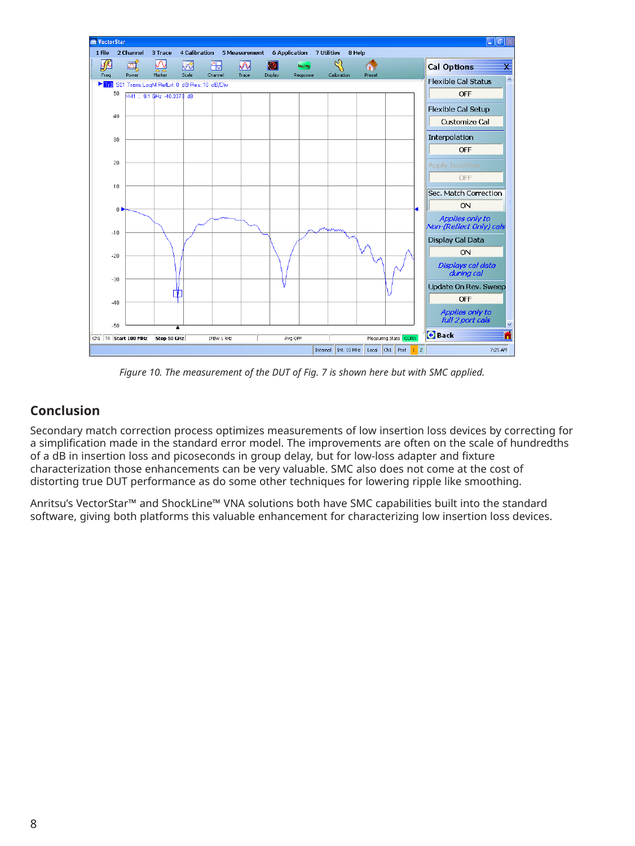

*Figure 10. The measurement of the DUT of Fig. 7 is shown here but with SMC applied.*

## **Conclusion**

Secondary match correction process optimizes measurements of low insertion loss devices by correcting for a simplification made in the standard error model. The improvements are often on the scale of hundredths of a dB in insertion loss and picoseconds in group delay, but for low-loss adapter and fixture characterization those enhancements can be very valuable. SMC also does not come at the cost of distorting true DUT performance as do some other techniques for lowering ripple like smoothing.

Anritsu's VectorStar™ and ShockLine™ VNA solutions both have SMC capabilities built into the standard software, giving both platforms this valuable enhancement for characterizing low insertion loss devices.